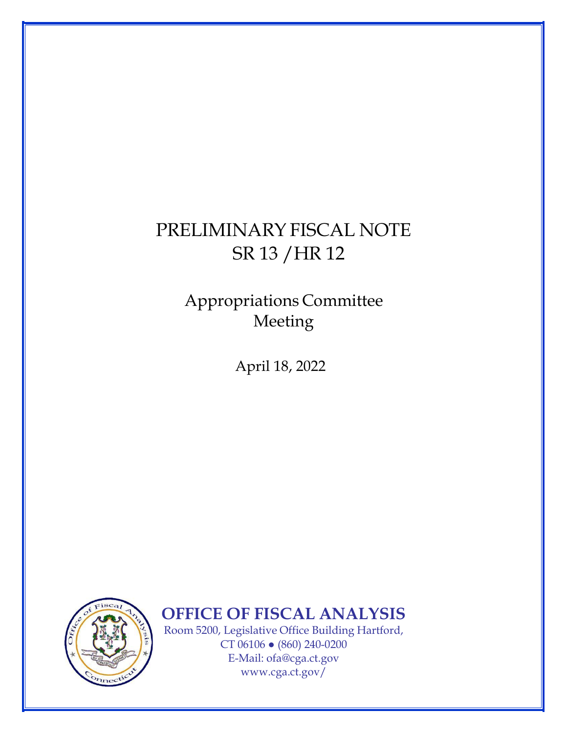## PRELIMINARY FISCAL NOTE SR 13 /HR 12

## Appropriations Committee Meeting

April 18, 2022



**OFFICE OF FISCAL ANALYSIS** 

Room 5200, Legislative Office Building Hartford, CT 06106 ● (860) 240-0200 E-Mail: [ofa@cga.ct.gov](mailto:ofa@cga.ct.gov) [www.cga.ct.gov/](http://www.cga.ct.gov/)